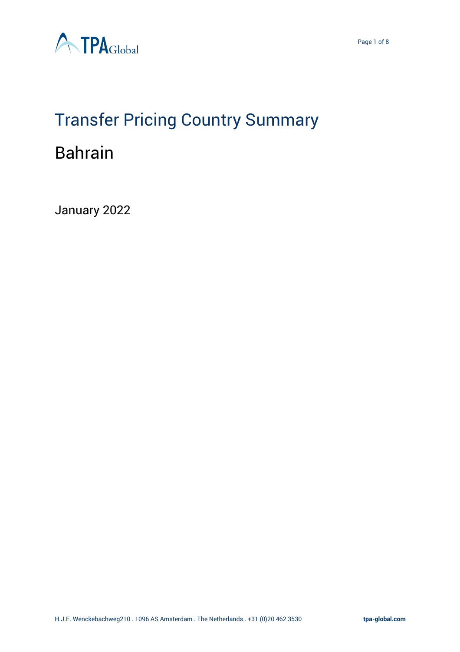

# Transfer Pricing Country Summary Bahrain

January 2022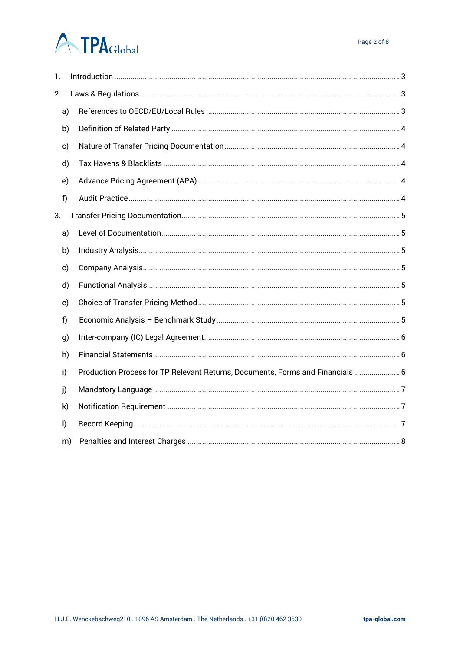# **ATPA**Global

| 1.      |    |                                                                                |
|---------|----|--------------------------------------------------------------------------------|
| 2.      |    |                                                                                |
|         | a) |                                                                                |
|         | b) |                                                                                |
| c)      |    |                                                                                |
|         | d) |                                                                                |
| e)      |    |                                                                                |
| f)      |    |                                                                                |
| 3.      |    |                                                                                |
|         | a) |                                                                                |
|         | b) |                                                                                |
| c)      |    |                                                                                |
|         | d) |                                                                                |
|         | e) |                                                                                |
| f)      |    |                                                                                |
| g)      |    |                                                                                |
|         | h) |                                                                                |
| i)      |    | Production Process for TP Relevant Returns, Documents, Forms and Financials  6 |
| j)      |    |                                                                                |
| k)      |    |                                                                                |
| $\vert$ |    |                                                                                |
|         | m) |                                                                                |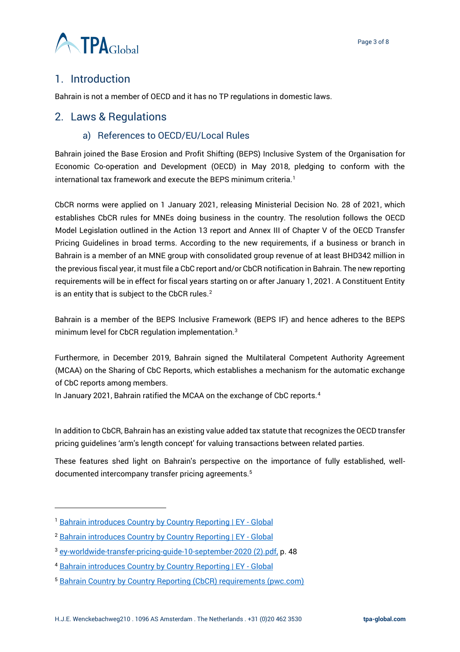

# <span id="page-2-0"></span>1. Introduction

Bahrain is not a member of OECD and it has no TP regulations in domestic laws.

#### <span id="page-2-2"></span><span id="page-2-1"></span>2. Laws & Regulations

#### a) References to OECD/EU/Local Rules

Bahrain joined the Base Erosion and Profit Shifting (BEPS) Inclusive System of the Organisation for Economic Co-operation and Development (OECD) in May 2018, pledging to conform with the international tax framework and execute the BEPS minimum criteria.<sup>1</sup>

CbCR norms were applied on 1 January 2021, releasing Ministerial Decision No. 28 of 2021, which establishes CbCR rules for MNEs doing business in the country. The resolution follows the OECD Model Legislation outlined in the Action 13 report and Annex III of Chapter V of the OECD Transfer Pricing Guidelines in broad terms. According to the new requirements, if a business or branch in Bahrain is a member of an MNE group with consolidated group revenue of at least BHD342 million in the previous fiscal year, it must file a CbC report and/or CbCR notification in Bahrain. The new reporting requirements will be in effect for fiscal years starting on or after January 1, 2021. A Constituent Entity is an entity that is subject to the CbCR rules.<sup>2</sup>

Bahrain is a member of the BEPS Inclusive Framework (BEPS IF) and hence adheres to the BEPS minimum level for CbCR regulation implementation.<sup>3</sup>

Furthermore, in December 2019, Bahrain signed the Multilateral Competent Authority Agreement (MCAA) on the Sharing of CbC Reports, which establishes a mechanism for the automatic exchange of CbC reports among members.

In January 2021, Bahrain ratified the MCAA on the exchange of CbC reports.<sup>4</sup>

In addition to CbCR, Bahrain has an existing value added tax statute that recognizes the OECD transfer pricing guidelines 'arm's length concept' for valuing transactions between related parties.

These features shed light on Bahrain's perspective on the importance of fully established, welldocumented intercompany transfer pricing agreements.<sup>5</sup>

<sup>&</sup>lt;sup>1</sup> [Bahrain introduces Country by Country Reporting | EY -](https://www.ey.com/en_gl/tax-alerts/bahrain-introduces-country-by-country-reporting) Global

<sup>&</sup>lt;sup>2</sup> [Bahrain introduces Country by Country Reporting | EY -](https://www.ey.com/en_gl/tax-alerts/bahrain-introduces-country-by-country-reporting) Global

<sup>3</sup> [ey-worldwide-transfer-pricing-guide-10-september-2020 \(2\).pdf,](file:///C:/Users/m.pereira/OneDrive%20-%20TPA%20Global/Country%20Summary/ey-worldwide-transfer-pricing-guide-10-september-2020%20(2).pdf) p. 48

<sup>4</sup> [Bahrain introduces Country by Country Reporting | EY -](https://www.ey.com/en_gl/tax-alerts/bahrain-introduces-country-by-country-reporting) Global

<sup>5</sup> [Bahrain Country by Country Reporting \(CbCR\) requirements \(pwc.com\)](https://www.pwc.com/m1/en/services/tax/me-tax-legal-news/2021/bahrain-country-by-country-reporting-requirements.html)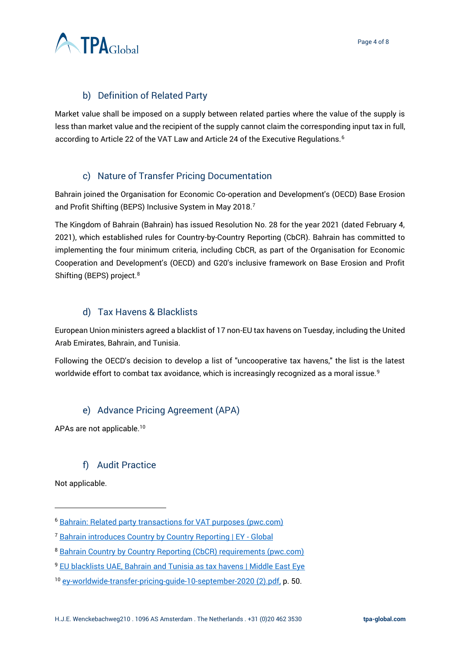

#### b) Definition of Related Party

<span id="page-3-0"></span>Market value shall be imposed on a supply between related parties where the value of the supply is less than market value and the recipient of the supply cannot claim the corresponding input tax in full, according to Article 22 of the VAT Law and Article 24 of the Executive Regulations.<sup>6</sup>

#### c) Nature of Transfer Pricing Documentation

<span id="page-3-1"></span>Bahrain joined the Organisation for Economic Co-operation and Development's (OECD) Base Erosion and Profit Shifting (BEPS) Inclusive System in May 2018.<sup>7</sup>

The Kingdom of Bahrain (Bahrain) has issued Resolution No. 28 for the year 2021 (dated February 4, 2021), which established rules for Country-by-Country Reporting (CbCR). Bahrain has committed to implementing the four minimum criteria, including CbCR, as part of the Organisation for Economic Cooperation and Development's (OECD) and G20's inclusive framework on Base Erosion and Profit Shifting (BEPS) project.<sup>8</sup>

#### d) Tax Havens & Blacklists

<span id="page-3-2"></span>European Union ministers agreed a blacklist of 17 non-EU tax havens on Tuesday, including the United Arab Emirates, Bahrain, and Tunisia.

Following the OECD's decision to develop a list of "uncooperative tax havens," the list is the latest worldwide effort to combat tax avoidance, which is increasingly recognized as a moral issue.<sup>9</sup>

#### e) Advance Pricing Agreement (APA)

<span id="page-3-3"></span>APAs are not applicable.<sup>10</sup>

#### f) Audit Practice

<span id="page-3-4"></span>Not applicable.

<sup>6</sup> [Bahrain: Related party transactions for VAT purposes \(pwc.com\)](https://www.pwc.com/m1/en/tax/documents/2020/bahrain-related-party-transactions-for-vat-purposes.pdf)

<sup>&</sup>lt;sup>7</sup> [Bahrain introduces Country by Country Reporting | EY -](https://www.ey.com/en_gl/tax-alerts/bahrain-introduces-country-by-country-reporting) Global

<sup>8</sup> [Bahrain Country by Country Reporting \(CbCR\) requirements \(pwc.com\)](https://www.pwc.com/m1/en/services/tax/me-tax-legal-news/2021/bahrain-country-by-country-reporting-requirements.html)

<sup>&</sup>lt;sup>9</sup> [EU blacklists UAE, Bahrain and Tunisia as tax havens | Middle East Eye](https://www.middleeasteye.net/news/eu-blacklists-uae-bahrain-and-tunisia-tax-havens)

<sup>10</sup> [ey-worldwide-transfer-pricing-guide-10-september-2020 \(2\).pdf,](file:///C:/Users/m.pereira/OneDrive%20-%20TPA%20Global/Country%20Summary/ey-worldwide-transfer-pricing-guide-10-september-2020%20(2).pdf) p. 50.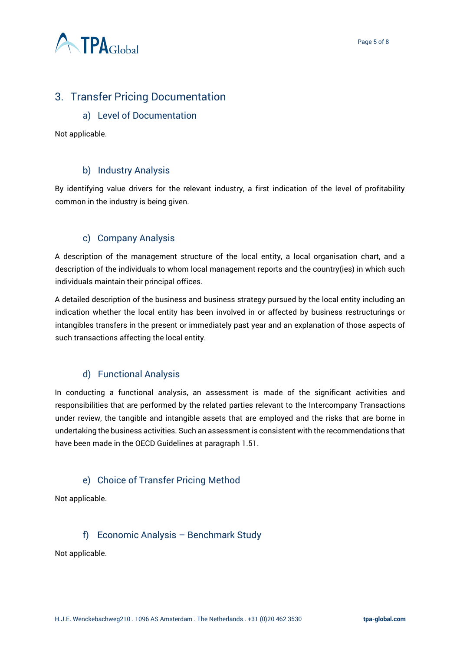

# <span id="page-4-1"></span><span id="page-4-0"></span>3. Transfer Pricing Documentation

#### a) Level of Documentation

Not applicable.

#### b) Industry Analysis

<span id="page-4-2"></span>By identifying value drivers for the relevant industry, a first indication of the level of profitability common in the industry is being given.

#### c) Company Analysis

<span id="page-4-3"></span>A description of the management structure of the local entity, a local organisation chart, and a description of the individuals to whom local management reports and the country(ies) in which such individuals maintain their principal offices.

A detailed description of the business and business strategy pursued by the local entity including an indication whether the local entity has been involved in or affected by business restructurings or intangibles transfers in the present or immediately past year and an explanation of those aspects of such transactions affecting the local entity.

#### d) Functional Analysis

<span id="page-4-4"></span>In conducting a functional analysis, an assessment is made of the significant activities and responsibilities that are performed by the related parties relevant to the Intercompany Transactions under review, the tangible and intangible assets that are employed and the risks that are borne in undertaking the business activities. Such an assessment is consistent with the recommendations that have been made in the OECD Guidelines at paragraph 1.51.

#### e) Choice of Transfer Pricing Method

<span id="page-4-5"></span>Not applicable.

#### f) Economic Analysis – Benchmark Study

<span id="page-4-6"></span>Not applicable.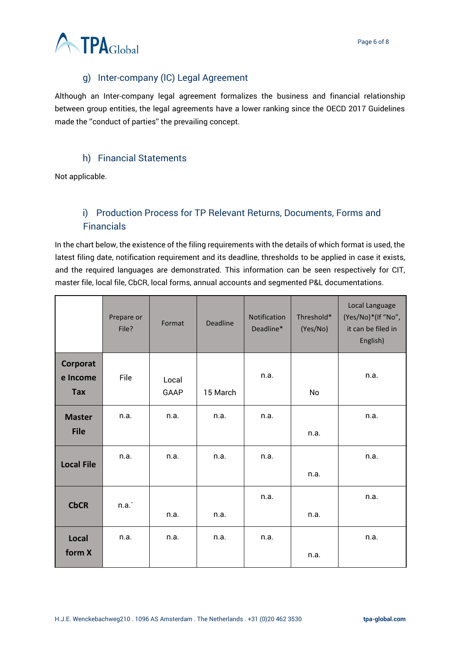

## g) Inter-company (IC) Legal Agreement

<span id="page-5-0"></span>Although an Inter-company legal agreement formalizes the business and financial relationship between group entities, the legal agreements have a lower ranking since the OECD 2017 Guidelines made the ''conduct of parties'' the prevailing concept.

#### h) Financial Statements

<span id="page-5-1"></span>Not applicable.

# <span id="page-5-2"></span>i) Production Process for TP Relevant Returns, Documents, Forms and Financials

In the chart below, the existence of the filing requirements with the details of which format is used, the latest filing date, notification requirement and its deadline, thresholds to be applied in case it exists, and the required languages are demonstrated. This information can be seen respectively for CIT, master file, local file, CbCR, local forms, annual accounts and segmented P&L documentations.

|                      | Prepare or<br>File? | Format | <b>Deadline</b> | Notification<br>Deadline* | Threshold*<br>(Yes/No) | Local Language<br>(Yes/No)*(If "No",<br>it can be filed in<br>English) |
|----------------------|---------------------|--------|-----------------|---------------------------|------------------------|------------------------------------------------------------------------|
| Corporat<br>e Income | File                | Local  |                 | n.a.                      |                        | n.a.                                                                   |
| <b>Tax</b>           |                     | GAAP   | 15 March        |                           | No                     |                                                                        |
| <b>Master</b>        | n.a.                | n.a.   | n.a.            | n.a.                      |                        | n.a.                                                                   |
| <b>File</b>          |                     |        |                 |                           | n.a.                   |                                                                        |
| <b>Local File</b>    | n.a.                | n.a.   | n.a.            | n.a.                      |                        | n.a.                                                                   |
|                      |                     |        |                 |                           | n.a.                   |                                                                        |
| <b>CbCR</b>          | n.a.                |        |                 | n.a.                      |                        | n.a.                                                                   |
|                      |                     | n.a.   | n.a.            |                           | n.a.                   |                                                                        |
| Local                | n.a.                | n.a.   | n.a.            | n.a.                      |                        | n.a.                                                                   |
| form X               |                     |        |                 |                           | n.a.                   |                                                                        |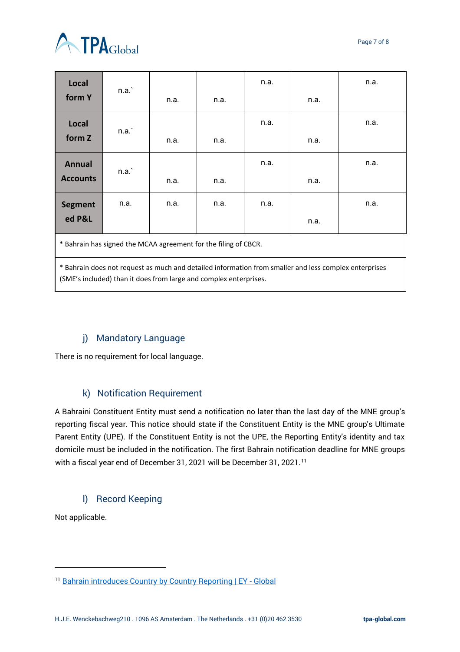

| <b>Local</b>                                                                                                                                                               | n.a. |      |      | n.a. |      | n.a. |  |  |  |  |
|----------------------------------------------------------------------------------------------------------------------------------------------------------------------------|------|------|------|------|------|------|--|--|--|--|
| form Y                                                                                                                                                                     |      | n.a. | n.a. |      | n.a. |      |  |  |  |  |
| Local                                                                                                                                                                      |      |      |      | n.a. |      | n.a. |  |  |  |  |
| form Z                                                                                                                                                                     | n.a. | n.a. | n.a. |      | n.a. |      |  |  |  |  |
| <b>Annual</b>                                                                                                                                                              | n.a. |      |      | n.a. |      | n.a. |  |  |  |  |
| <b>Accounts</b>                                                                                                                                                            |      | n.a. | n.a. |      | n.a. |      |  |  |  |  |
| <b>Segment</b>                                                                                                                                                             | n.a. | n.a. | n.a. | n.a. |      | n.a. |  |  |  |  |
| ed P&L                                                                                                                                                                     |      |      |      |      | n.a. |      |  |  |  |  |
| * Bahrain has signed the MCAA agreement for the filing of CBCR.                                                                                                            |      |      |      |      |      |      |  |  |  |  |
| * Bahrain does not request as much and detailed information from smaller and less complex enterprises<br>(SME's included) than it does from large and complex enterprises. |      |      |      |      |      |      |  |  |  |  |

#### j) Mandatory Language

<span id="page-6-0"></span>There is no requirement for local language.

#### k) Notification Requirement

<span id="page-6-1"></span>A Bahraini Constituent Entity must send a notification no later than the last day of the MNE group's reporting fiscal year. This notice should state if the Constituent Entity is the MNE group's Ultimate Parent Entity (UPE). If the Constituent Entity is not the UPE, the Reporting Entity's identity and tax domicile must be included in the notification. The first Bahrain notification deadline for MNE groups with a fiscal year end of December 31, 2021 will be December 31, 2021.<sup>11</sup>

#### l) Record Keeping

<span id="page-6-2"></span>Not applicable.

<sup>&</sup>lt;sup>11</sup> [Bahrain introduces Country by Country Reporting | EY -](https://www.ey.com/en_gl/tax-alerts/bahrain-introduces-country-by-country-reporting) Global